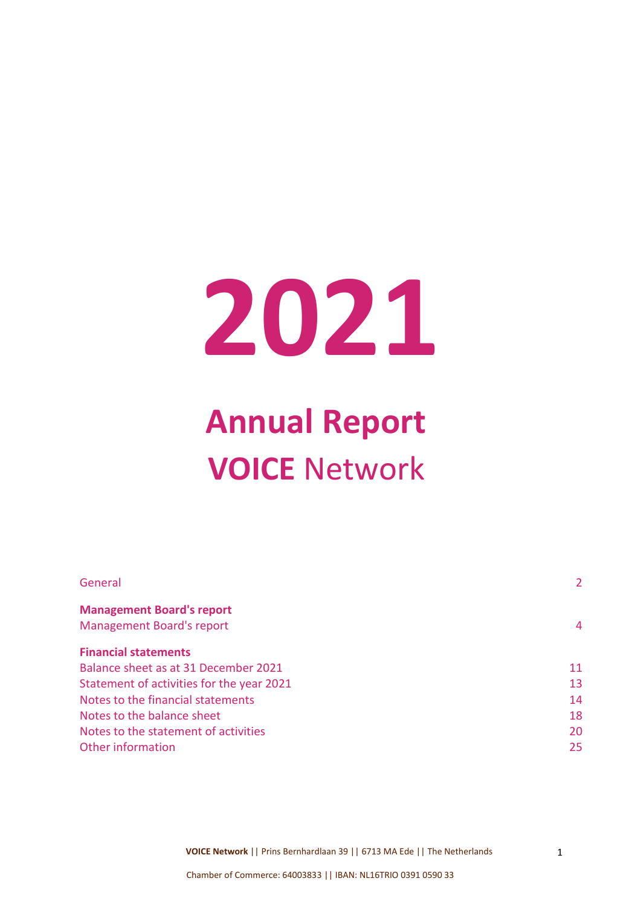# **2021**

# **Annual Report VOICE** Network

| 2  |
|----|
|    |
| 4  |
|    |
| 11 |
| 13 |
| 14 |
| 18 |
| 20 |
| 25 |
|    |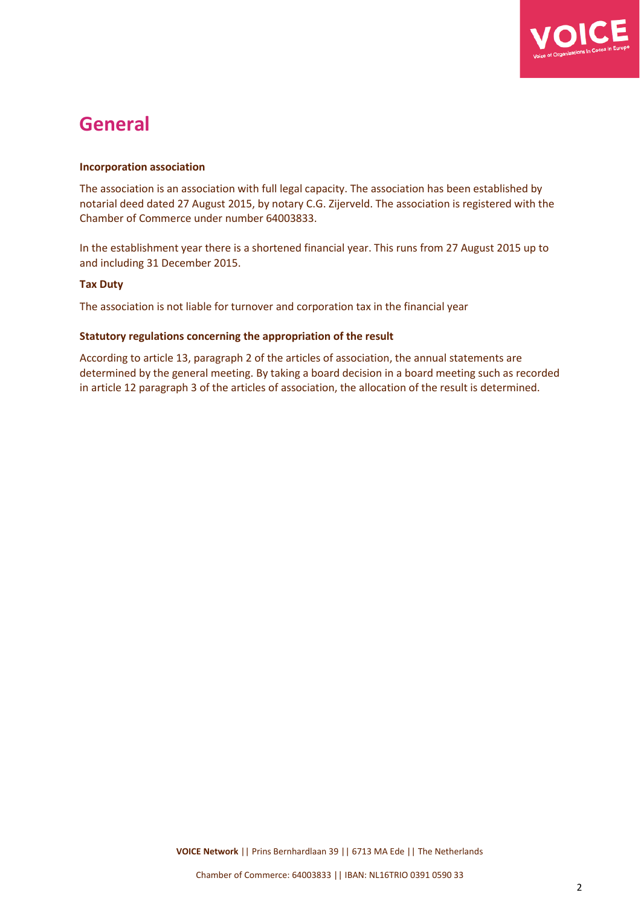

## **General**

#### **Incorporation association**

The association is an association with full legal capacity. The association has been established by notarial deed dated 27 August 2015, by notary C.G. Zijerveld. The association is registered with the Chamber of Commerce under number 64003833.

In the establishment year there is a shortened financial year. This runs from 27 August 2015 up to and including 31 December 2015.

#### **Tax Duty**

The association is not liable for turnover and corporation tax in the financial year

#### **Statutory regulations concerning the appropriation of the result**

According to article 13, paragraph 2 of the articles of association, the annual statements are determined by the general meeting. By taking a board decision in a board meeting such as recorded in article 12 paragraph 3 of the articles of association, the allocation of the result is determined.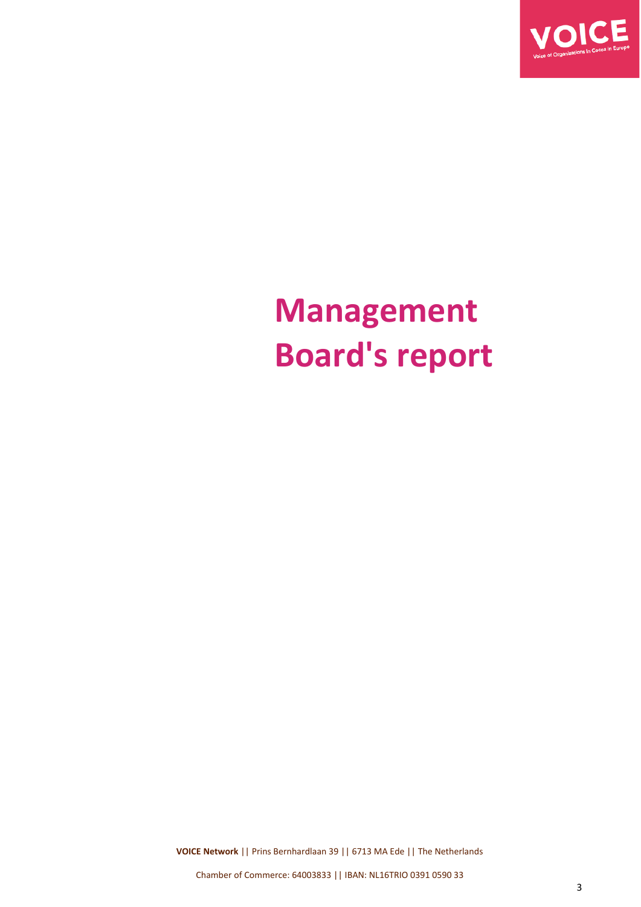

# **Management Board's report**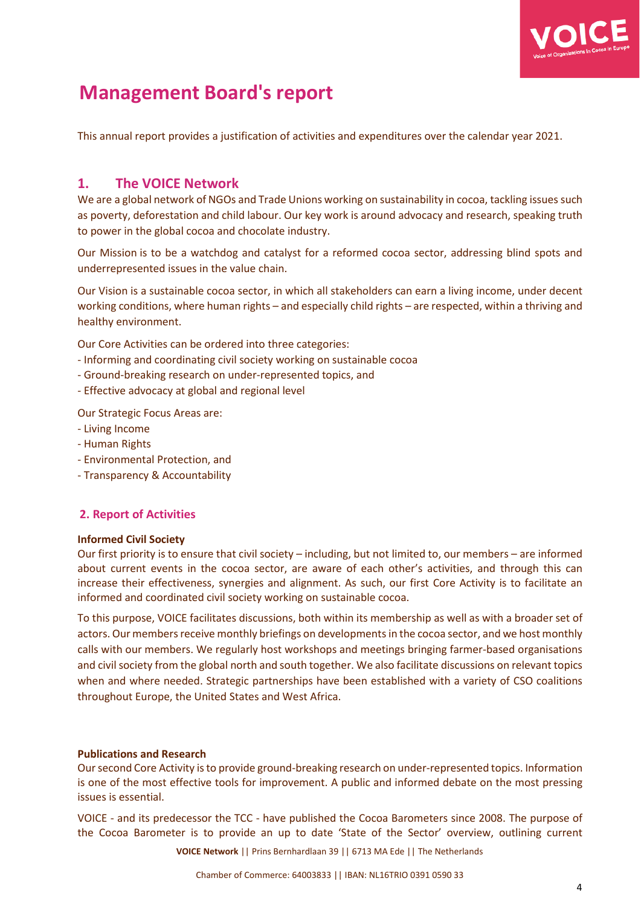

## **Management Board's report**

This annual report provides a justification of activities and expenditures over the calendar year 2021.

#### **1. The VOICE Network**

We are a global network of NGOs and Trade Unions working on sustainability in cocoa, tackling issues such as poverty, deforestation and child labour. Our key work is around advocacy and research, speaking truth to power in the global cocoa and chocolate industry.

Our Mission is to be a watchdog and catalyst for a reformed cocoa sector, addressing blind spots and underrepresented issues in the value chain.

Our Vision is a sustainable cocoa sector, in which all stakeholders can earn a living income, under decent working conditions, where human rights – and especially child rights – are respected, within a thriving and healthy environment.

Our Core Activities can be ordered into three categories:

- Informing and coordinating civil society working on sustainable cocoa
- Ground-breaking research on under-represented topics, and
- Effective advocacy at global and regional level

Our Strategic Focus Areas are:

- Living Income
- Human Rights
- Environmental Protection, and
- Transparency & Accountability

#### **2. Report of Activities**

#### **Informed Civil Society**

Our first priority is to ensure that civil society – including, but not limited to, our members – are informed about current events in the cocoa sector, are aware of each other's activities, and through this can increase their effectiveness, synergies and alignment. As such, our first Core Activity is to facilitate an informed and coordinated civil society working on sustainable cocoa.

To this purpose, VOICE facilitates discussions, both within its membership as well as with a broader set of actors. Our members receive monthly briefings on developments in the cocoa sector, and we host monthly calls with our members. We regularly host workshops and meetings bringing farmer-based organisations and civil society from the global north and south together. We also facilitate discussions on relevant topics when and where needed. Strategic partnerships have been established with a variety of CSO coalitions throughout Europe, the United States and West Africa.

#### **Publications and Research**

Oursecond Core Activity isto provide ground-breaking research on under-represented topics. Information is one of the most effective tools for improvement. A public and informed debate on the most pressing issues is essential.

VOICE - and its predecessor the TCC - have published the Cocoa Barometers since 2008. The purpose of the Cocoa Barometer is to provide an up to date 'State of the Sector' overview, outlining current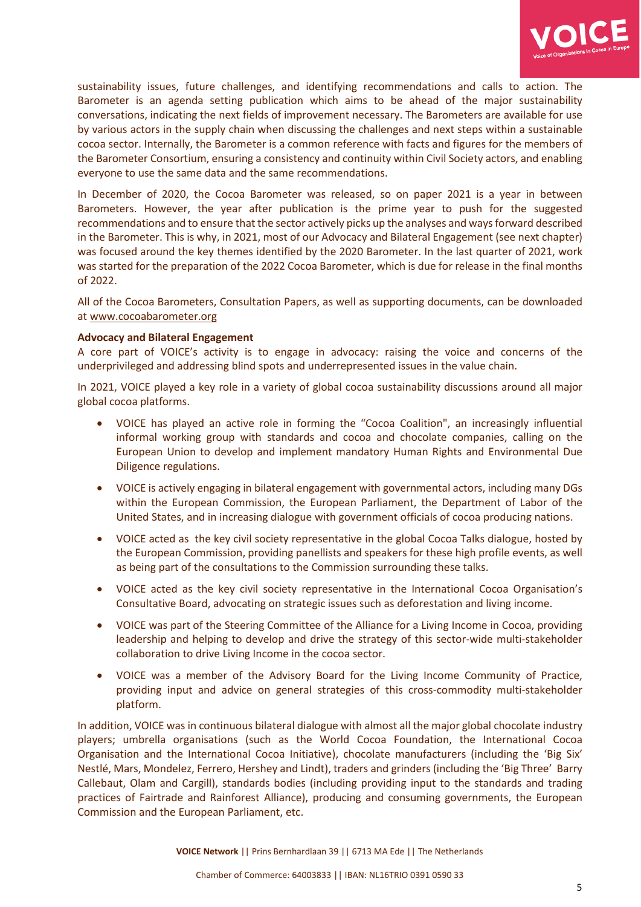

sustainability issues, future challenges, and identifying recommendations and calls to action. The Barometer is an agenda setting publication which aims to be ahead of the major sustainability conversations, indicating the next fields of improvement necessary. The Barometers are available for use by various actors in the supply chain when discussing the challenges and next steps within a sustainable cocoa sector. Internally, the Barometer is a common reference with facts and figures for the members of the Barometer Consortium, ensuring a consistency and continuity within Civil Society actors, and enabling everyone to use the same data and the same recommendations.

In December of 2020, the Cocoa Barometer was released, so on paper 2021 is a year in between Barometers. However, the year after publication is the prime year to push for the suggested recommendations and to ensure that the sector actively picks up the analyses and waysforward described in the Barometer. This is why, in 2021, most of our Advocacy and Bilateral Engagement (see next chapter) was focused around the key themes identified by the 2020 Barometer. In the last quarter of 2021, work was started for the preparation of the 2022 Cocoa Barometer, which is due for release in the final months of 2022.

All of the Cocoa Barometers, Consultation Papers, as well as supporting documents, can be downloaded at [www.cocoabarometer.org](http://www.cocoabarometer.org/)

#### **Advocacy and Bilateral Engagement**

A core part of VOICE's activity is to engage in advocacy: raising the voice and concerns of the underprivileged and addressing blind spots and underrepresented issues in the value chain.

In 2021, VOICE played a key role in a variety of global cocoa sustainability discussions around all major global cocoa platforms.

- VOICE has played an active role in forming the "Cocoa Coalition", an increasingly influential informal working group with standards and cocoa and chocolate companies, calling on the European Union to develop and implement mandatory Human Rights and Environmental Due Diligence regulations.
- VOICE is actively engaging in bilateral engagement with governmental actors, including many DGs within the European Commission, the European Parliament, the Department of Labor of the United States, and in increasing dialogue with government officials of cocoa producing nations.
- VOICE acted as the key civil society representative in the global Cocoa Talks dialogue, hosted by the European Commission, providing panellists and speakers for these high profile events, as well as being part of the consultations to the Commission surrounding these talks.
- VOICE acted as the key civil society representative in the International Cocoa Organisation's Consultative Board, advocating on strategic issues such as deforestation and living income.
- VOICE was part of the Steering Committee of the Alliance for a Living Income in Cocoa, providing leadership and helping to develop and drive the strategy of this sector-wide multi-stakeholder collaboration to drive Living Income in the cocoa sector.
- VOICE was a member of the Advisory Board for the Living Income Community of Practice, providing input and advice on general strategies of this cross-commodity multi-stakeholder platform.

In addition, VOICE was in continuous bilateral dialogue with almost all the major global chocolate industry players; umbrella organisations (such as the World Cocoa Foundation, the International Cocoa Organisation and the International Cocoa Initiative), chocolate manufacturers (including the 'Big Six' Nestlé, Mars, Mondelez, Ferrero, Hershey and Lindt), traders and grinders (including the 'Big Three' Barry Callebaut, Olam and Cargill), standards bodies (including providing input to the standards and trading practices of Fairtrade and Rainforest Alliance), producing and consuming governments, the European Commission and the European Parliament, etc.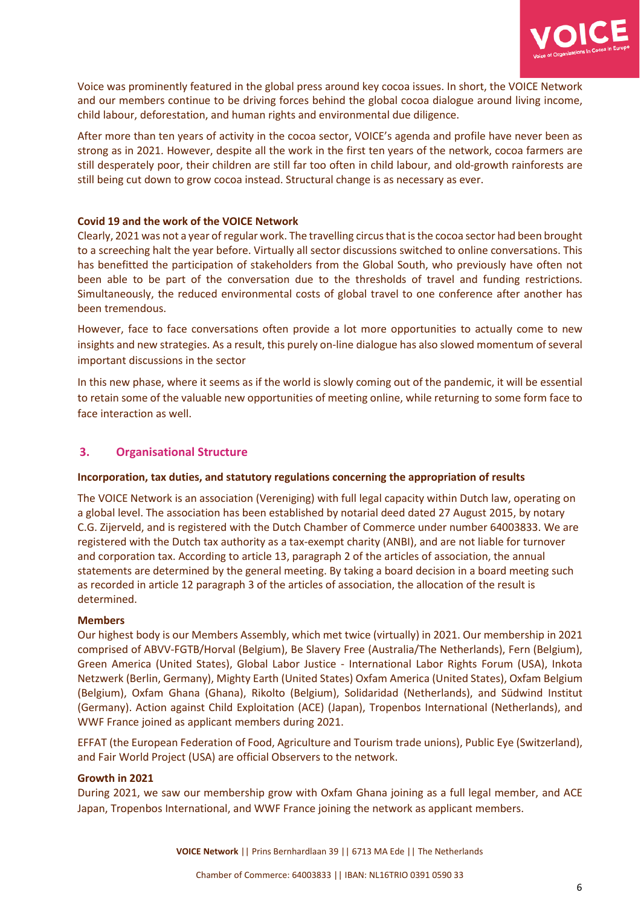

Voice was prominently featured in the global press around key cocoa issues. In short, the VOICE Network and our members continue to be driving forces behind the global cocoa dialogue around living income, child labour, deforestation, and human rights and environmental due diligence.

After more than ten years of activity in the cocoa sector, VOICE's agenda and profile have never been as strong as in 2021. However, despite all the work in the first ten years of the network, cocoa farmers are still desperately poor, their children are still far too often in child labour, and old-growth rainforests are still being cut down to grow cocoa instead. Structural change is as necessary as ever.

#### **Covid 19 and the work of the VOICE Network**

Clearly, 2021 was not a year of regular work. The travelling circus that is the cocoa sector had been brought to a screeching halt the year before. Virtually all sector discussions switched to online conversations. This has benefitted the participation of stakeholders from the Global South, who previously have often not been able to be part of the conversation due to the thresholds of travel and funding restrictions. Simultaneously, the reduced environmental costs of global travel to one conference after another has been tremendous.

However, face to face conversations often provide a lot more opportunities to actually come to new insights and new strategies. As a result, this purely on-line dialogue has also slowed momentum of several important discussions in the sector

In this new phase, where it seems as if the world is slowly coming out of the pandemic, it will be essential to retain some of the valuable new opportunities of meeting online, while returning to some form face to face interaction as well.

#### **3. Organisational Structure**

#### **Incorporation, tax duties, and statutory regulations concerning the appropriation of results**

The VOICE Network is an association (Vereniging) with full legal capacity within Dutch law, operating on a global level. The association has been established by notarial deed dated 27 August 2015, by notary C.G. Zijerveld, and is registered with the Dutch Chamber of Commerce under number 64003833. We are registered with the Dutch tax authority as a tax-exempt charity (ANBI), and are not liable for turnover and corporation tax. According to article 13, paragraph 2 of the articles of association, the annual statements are determined by the general meeting. By taking a board decision in a board meeting such as recorded in article 12 paragraph 3 of the articles of association, the allocation of the result is determined.

#### **Members**

Our highest body is our Members Assembly, which met twice (virtually) in 2021. Our membership in 2021 comprised of ABVV-FGTB/Horval (Belgium), Be Slavery Free (Australia/The Netherlands), Fern (Belgium), Green America (United States), Global Labor Justice - International Labor Rights Forum (USA), Inkota Netzwerk (Berlin, Germany), Mighty Earth (United States) Oxfam America (United States), Oxfam Belgium (Belgium), Oxfam Ghana (Ghana), Rikolto (Belgium), Solidaridad (Netherlands), and Südwind Institut (Germany). Action against Child Exploitation (ACE) (Japan), Tropenbos International (Netherlands), and WWF France joined as applicant members during 2021.

EFFAT (the European Federation of Food, Agriculture and Tourism trade unions), Public Eye (Switzerland), and Fair World Project (USA) are official Observers to the network.

#### **Growth in 2021**

During 2021, we saw our membership grow with Oxfam Ghana joining as a full legal member, and ACE Japan, Tropenbos International, and WWF France joining the network as applicant members.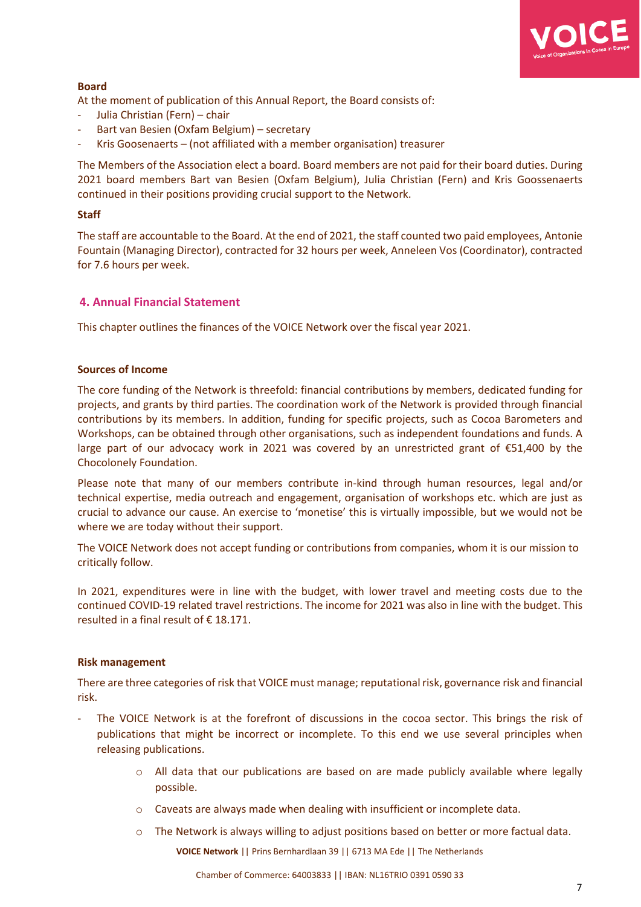

#### **Board**

At the moment of publication of this Annual Report, the Board consists of:

- Julia Christian (Fern) chair
- Bart van Besien (Oxfam Belgium) secretary
- Kris Goosenaerts (not affiliated with a member organisation) treasurer

The Members of the Association elect a board. Board members are not paid for their board duties. During 2021 board members Bart van Besien (Oxfam Belgium), Julia Christian (Fern) and Kris Goossenaerts continued in their positions providing crucial support to the Network.

#### **Staff**

The staff are accountable to the Board. At the end of 2021, the staff counted two paid employees, Antonie Fountain (Managing Director), contracted for 32 hours per week, Anneleen Vos (Coordinator), contracted for 7.6 hours per week.

#### **4. Annual Financial Statement**

This chapter outlines the finances of the VOICE Network over the fiscal year 2021.

#### **Sources of Income**

The core funding of the Network is threefold: financial contributions by members, dedicated funding for projects, and grants by third parties. The coordination work of the Network is provided through financial contributions by its members. In addition, funding for specific projects, such as Cocoa Barometers and Workshops, can be obtained through other organisations, such as independent foundations and funds. A large part of our advocacy work in 2021 was covered by an unrestricted grant of  $\epsilon$ 51,400 by the Chocolonely Foundation.

Please note that many of our members contribute in-kind through human resources, legal and/or technical expertise, media outreach and engagement, organisation of workshops etc. which are just as crucial to advance our cause. An exercise to 'monetise' this is virtually impossible, but we would not be where we are today without their support.

The VOICE Network does not accept funding or contributions from companies, whom it is our mission to critically follow.

In 2021, expenditures were in line with the budget, with lower travel and meeting costs due to the continued COVID-19 related travel restrictions. The income for 2021 was also in line with the budget. This resulted in a final result of € 18.171.

#### **Risk management**

There are three categories of risk that VOICE must manage; reputationalrisk, governance risk and financial risk.

- The VOICE Network is at the forefront of discussions in the cocoa sector. This brings the risk of publications that might be incorrect or incomplete. To this end we use several principles when releasing publications.
	- $\circ$  All data that our publications are based on are made publicly available where legally possible.
	- o Caveats are always made when dealing with insufficient or incomplete data.
	- o The Network is always willing to adjust positions based on better or more factual data.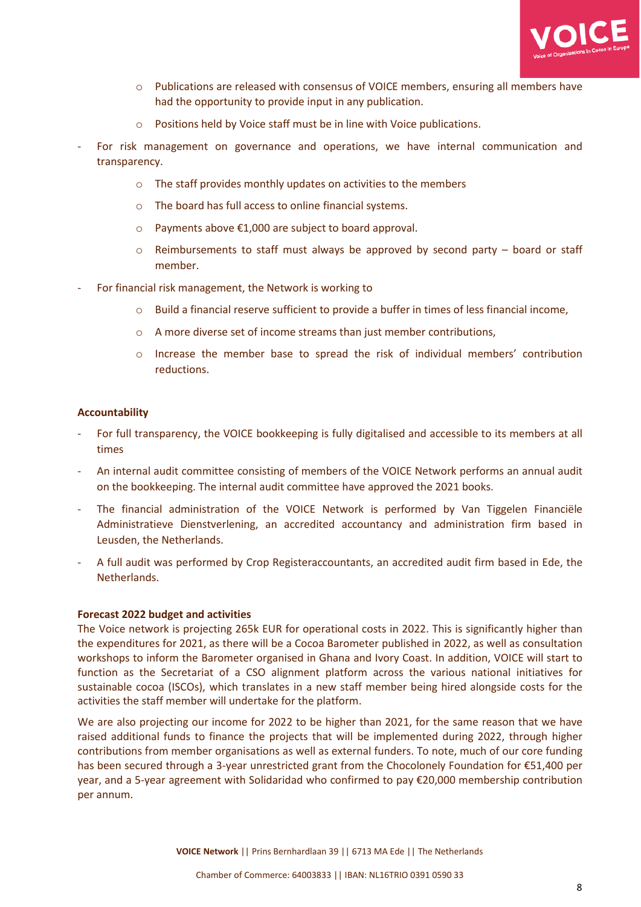

- o Publications are released with consensus of VOICE members, ensuring all members have had the opportunity to provide input in any publication.
- o Positions held by Voice staff must be in line with Voice publications.
- For risk management on governance and operations, we have internal communication and transparency.
	- $\circ$  The staff provides monthly updates on activities to the members
	- o The board has full access to online financial systems.
	- o Payments above €1,000 are subject to board approval.
	- $\circ$  Reimbursements to staff must always be approved by second party board or staff member.
- For financial risk management, the Network is working to
	- o Build a financial reserve sufficient to provide a buffer in times of less financial income,
	- $\circ$  A more diverse set of income streams than just member contributions,
	- o Increase the member base to spread the risk of individual members' contribution reductions.

#### **Accountability**

- For full transparency, the VOICE bookkeeping is fully digitalised and accessible to its members at all times
- An internal audit committee consisting of members of the VOICE Network performs an annual audit on the bookkeeping. The internal audit committee have approved the 2021 books.
- The financial administration of the VOICE Network is performed by Van Tiggelen Financiële Administratieve Dienstverlening, an accredited accountancy and administration firm based in Leusden, the Netherlands.
- A full audit was performed by Crop Registeraccountants, an accredited audit firm based in Ede, the Netherlands.

#### **Forecast 2022 budget and activities**

The Voice network is projecting 265k EUR for operational costs in 2022. This is significantly higher than the expenditures for 2021, as there will be a Cocoa Barometer published in 2022, as well as consultation workshops to inform the Barometer organised in Ghana and Ivory Coast. In addition, VOICE will start to function as the Secretariat of a CSO alignment platform across the various national initiatives for sustainable cocoa (ISCOs), which translates in a new staff member being hired alongside costs for the activities the staff member will undertake for the platform.

We are also projecting our income for 2022 to be higher than 2021, for the same reason that we have raised additional funds to finance the projects that will be implemented during 2022, through higher contributions from member organisations as well as external funders. To note, much of our core funding has been secured through a 3-year unrestricted grant from the Chocolonely Foundation for €51,400 per year, and a 5-year agreement with Solidaridad who confirmed to pay €20,000 membership contribution per annum.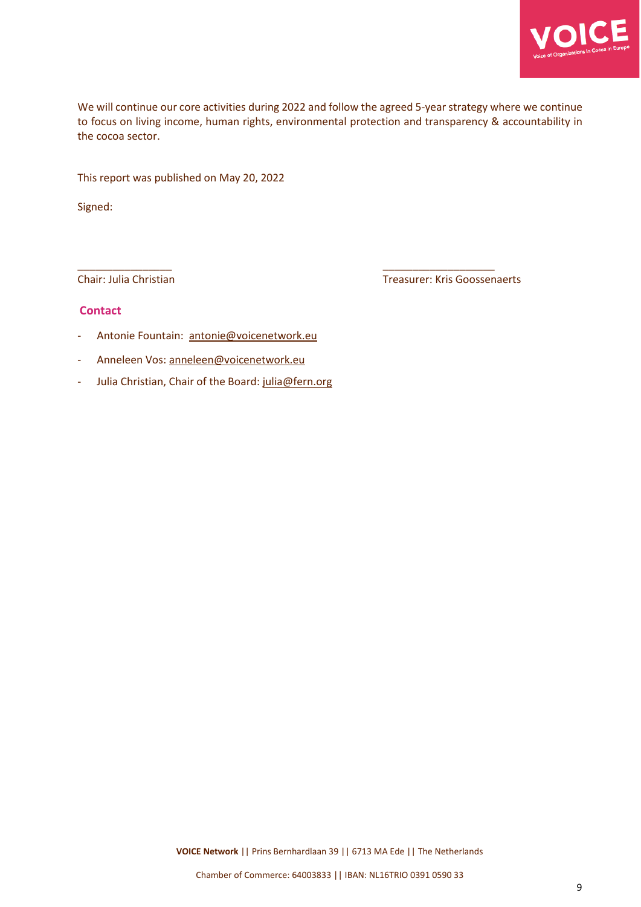

We will continue our core activities during 2022 and follow the agreed 5-year strategy where we continue to focus on living income, human rights, environmental protection and transparency & accountability in the cocoa sector.

\_\_\_\_\_\_\_\_\_\_\_\_\_\_\_\_ \_\_\_\_\_\_\_\_\_\_\_\_\_\_\_\_\_\_\_

This report was published on May 20, 2022

Signed:

Chair: Julia Christian Treasurer: Kris Goossenaerts

#### **Contact**

- Antonie Fountain: antonie@voicenetwork.eu
- Anneleen Vos: [anneleen@voicenetwork.eu](mailto:anneleen@voicenetwork.eu)
- Julia Christian, Chair of the Board: [julia@fern.org](mailto:julia@fern.org)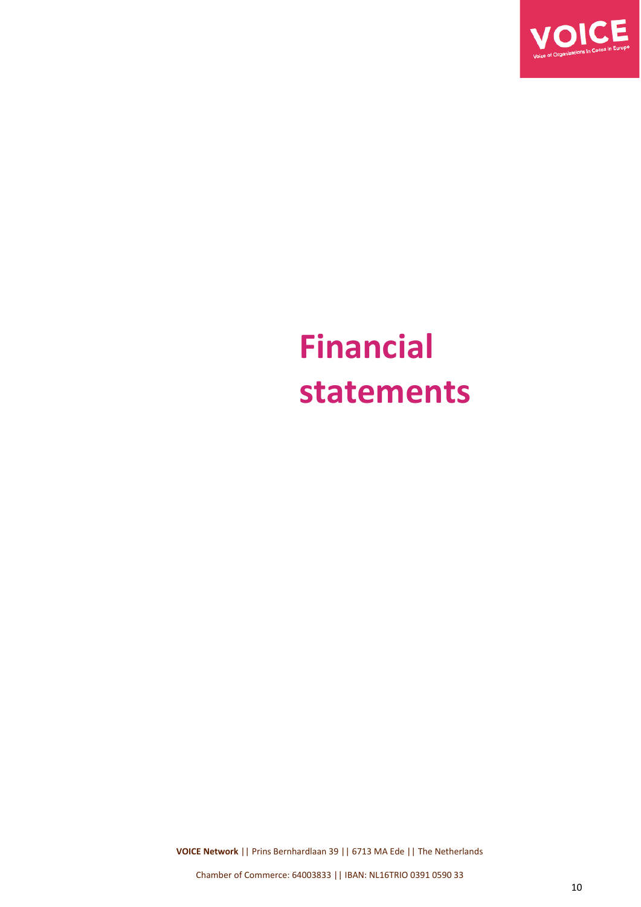

# **Financial statements**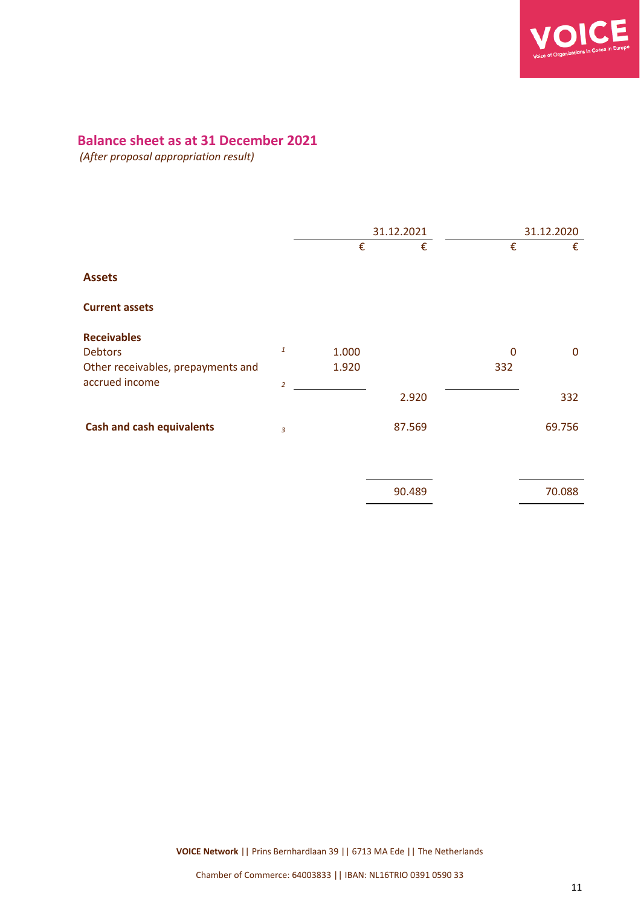

#### **Balance sheet as at 31 December 2021**

*(After proposal appropriation result)*

|                                    | 31.12.2021     |       |        | 31.12.2020 |             |
|------------------------------------|----------------|-------|--------|------------|-------------|
|                                    |                | €     | €      | €          | €           |
| <b>Assets</b>                      |                |       |        |            |             |
| <b>Current assets</b>              |                |       |        |            |             |
| <b>Receivables</b>                 |                |       |        |            |             |
| <b>Debtors</b>                     | $\mathbf{1}$   | 1.000 |        | 0          | $\mathbf 0$ |
| Other receivables, prepayments and |                | 1.920 |        | 332        |             |
| accrued income                     | $\overline{2}$ |       |        |            |             |
|                                    |                |       | 2.920  |            | 332         |
| <b>Cash and cash equivalents</b>   | 3              |       | 87.569 |            | 69.756      |
|                                    |                |       |        |            |             |

| 90.489 | 70.088 |
|--------|--------|
|        |        |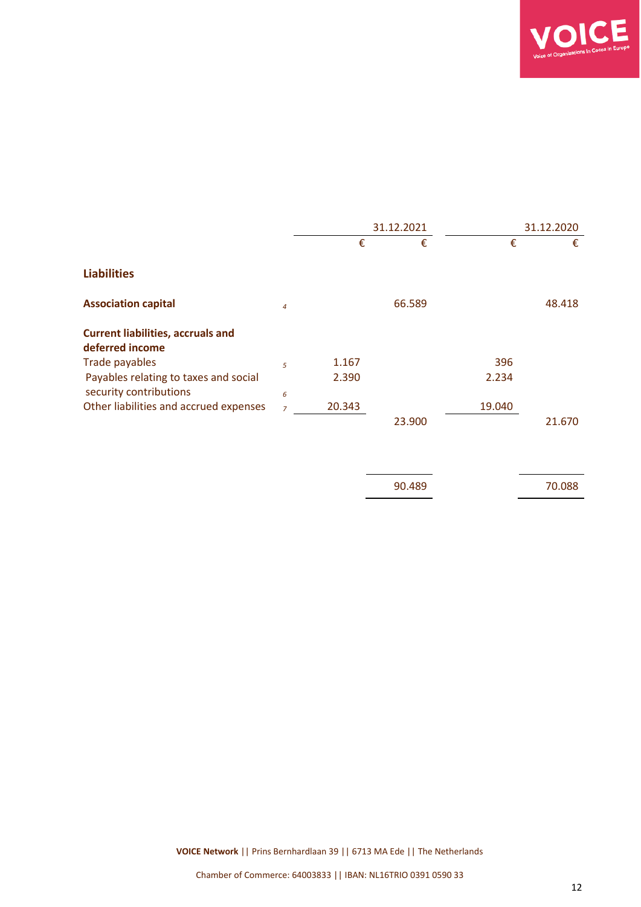

| 31.12.2021     |        |        | 31.12.2020 |        |
|----------------|--------|--------|------------|--------|
|                | €      | €      | €          | €      |
|                |        |        |            |        |
| $\overline{4}$ |        | 66.589 |            | 48.418 |
|                |        |        |            |        |
|                |        |        |            |        |
| 5              | 1.167  |        | 396        |        |
|                | 2.390  |        | 2.234      |        |
| 6              |        |        |            |        |
| $\overline{7}$ | 20.343 |        | 19.040     |        |
|                |        | 23.900 |            | 21.670 |
|                |        |        |            |        |

90.489 70.088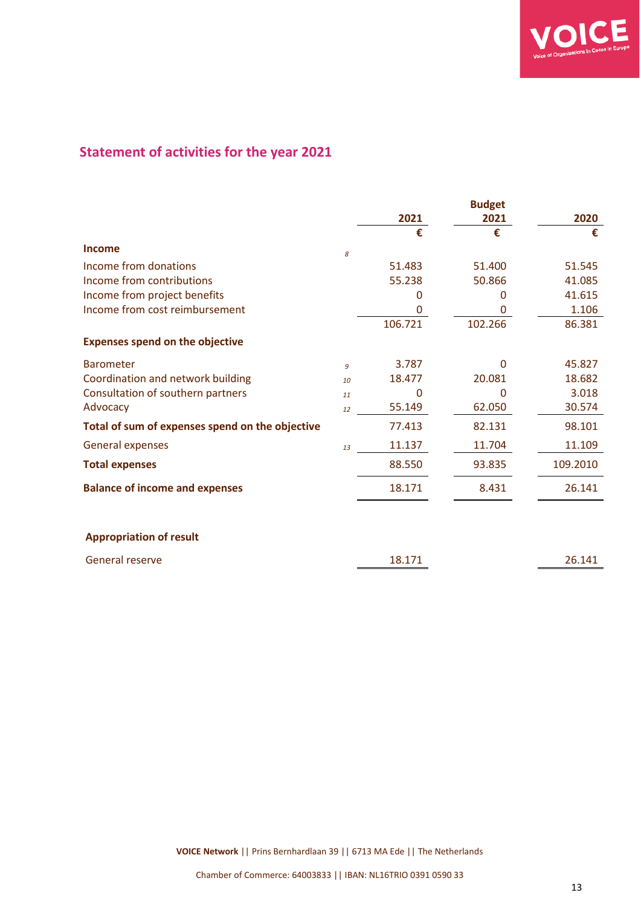

### **Statement of activities for the year 2021**

|                                                 |    |          | <b>Budget</b> |          |
|-------------------------------------------------|----|----------|---------------|----------|
|                                                 |    | 2021     | 2021          | 2020     |
|                                                 |    | €        | €             | €        |
| Income                                          | 8  |          |               |          |
| Income from donations                           |    | 51.483   | 51.400        | 51.545   |
| Income from contributions                       |    | 55.238   | 50.866        | 41.085   |
| Income from project benefits                    |    | 0        | 0             | 41.615   |
| Income from cost reimbursement                  |    | 0        | 0             | 1.106    |
|                                                 |    | 106.721  | 102.266       | 86.381   |
| <b>Expenses spend on the objective</b>          |    |          |               |          |
| <b>Barometer</b>                                | 9  | 3.787    | $\Omega$      | 45.827   |
| Coordination and network building               | 10 | 18.477   | 20.081        | 18.682   |
| Consultation of southern partners               | 11 | $\Omega$ | $\Omega$      | 3.018    |
| Advocacy                                        | 12 | 55.149   | 62.050        | 30.574   |
| Total of sum of expenses spend on the objective |    | 77.413   | 82.131        | 98.101   |
| <b>General expenses</b>                         | 13 | 11.137   | 11.704        | 11.109   |
| <b>Total expenses</b>                           |    | 88.550   | 93.835        | 109.2010 |
| <b>Balance of income and expenses</b>           |    | 18.171   | 8.431         | 26.141   |
|                                                 |    |          |               |          |
| <b>Appropriation of result</b>                  |    |          |               |          |
| General reserve                                 |    | 18.171   |               | 26.141   |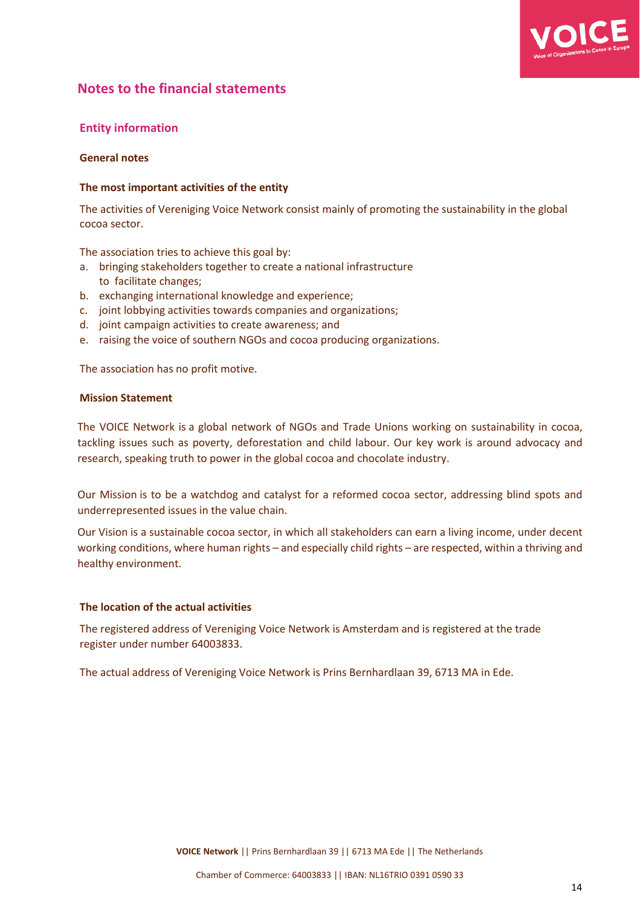

#### **Notes to the financial statements**

#### **Entity information**

#### **General notes**

#### **The most important activities of the entity**

The activities of Vereniging Voice Network consist mainly of promoting the sustainability in the global cocoa sector.

The association tries to achieve this goal by:

- a. bringing stakeholders together to create a national infrastructure to facilitate changes;
- b. exchanging international knowledge and experience;
- c. joint lobbying activities towards companies and organizations;
- d. joint campaign activities to create awareness; and
- e. raising the voice of southern NGOs and cocoa producing organizations.

The association has no profit motive.

#### **Mission Statement**

The VOICE Network is a global network of NGOs and Trade Unions working on sustainability in cocoa, tackling issues such as poverty, deforestation and child labour. Our key work is around advocacy and research, speaking truth to power in the global cocoa and chocolate industry.

Our Mission is to be a watchdog and catalyst for a reformed cocoa sector, addressing blind spots and underrepresented issues in the value chain.

Our Vision is a sustainable cocoa sector, in which all stakeholders can earn a living income, under decent working conditions, where human rights – and especially child rights – are respected, within a thriving and healthy environment.

#### **The location of the actual activities**

The registered address of Vereniging Voice Network is Amsterdam and is registered at the trade register under number 64003833.

The actual address of Vereniging Voice Network is Prins Bernhardlaan 39, 6713 MA in Ede.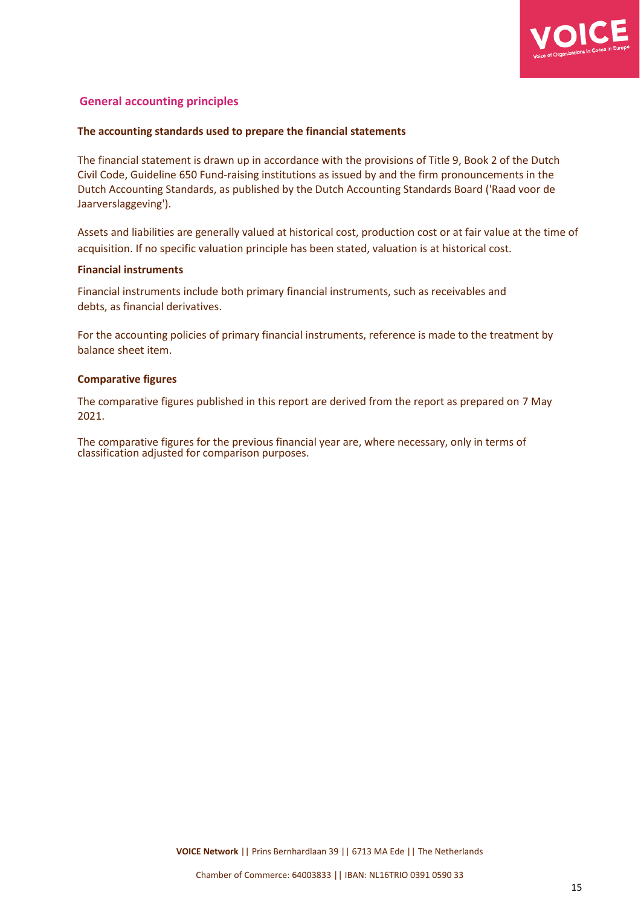

#### **General accounting principles**

#### **The accounting standards used to prepare the financial statements**

The financial statement is drawn up in accordance with the provisions of Title 9, Book 2 of the Dutch Civil Code, Guideline 650 Fund-raising institutions as issued by and the firm pronouncements in the Dutch Accounting Standards, as published by the Dutch Accounting Standards Board ('Raad voor de Jaarverslaggeving').

Assets and liabilities are generally valued at historical cost, production cost or at fair value at the time of acquisition. If no specific valuation principle has been stated, valuation is at historical cost.

#### **Financial instruments**

Financial instruments include both primary financial instruments, such as receivables and debts, as financial derivatives.

For the accounting policies of primary financial instruments, reference is made to the treatment by balance sheet item.

#### **Comparative figures**

The comparative figures published in this report are derived from the report as prepared on 7 May 2021.

The comparative figures for the previous financial year are, where necessary, only in terms of classification adjusted for comparison purposes.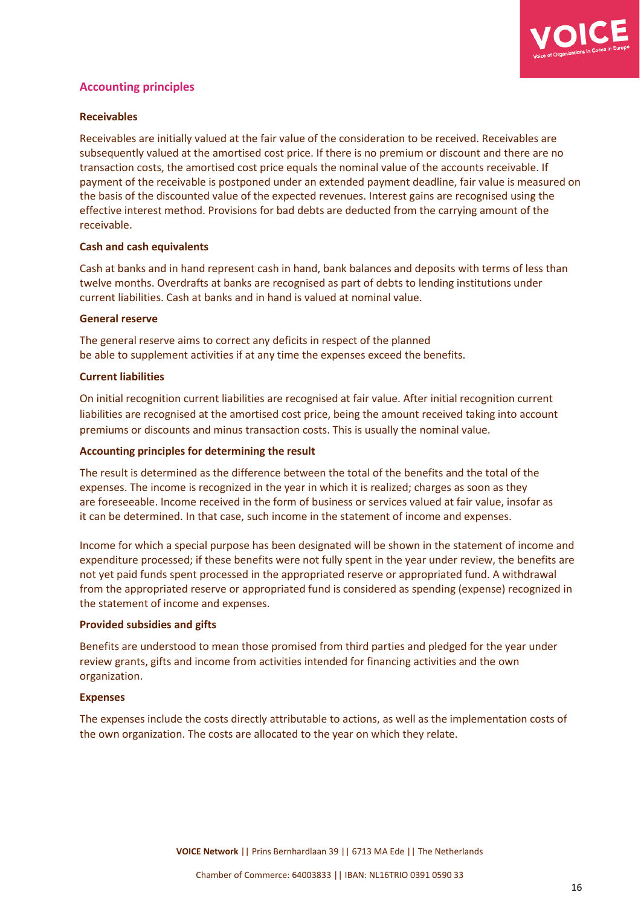

#### **Accounting principles**

#### **Receivables**

Receivables are initially valued at the fair value of the consideration to be received. Receivables are subsequently valued at the amortised cost price. If there is no premium or discount and there are no transaction costs, the amortised cost price equals the nominal value of the accounts receivable. If payment of the receivable is postponed under an extended payment deadline, fair value is measured on the basis of the discounted value of the expected revenues. Interest gains are recognised using the effective interest method. Provisions for bad debts are deducted from the carrying amount of the receivable.

#### **Cash and cash equivalents**

Cash at banks and in hand represent cash in hand, bank balances and deposits with terms of less than twelve months. Overdrafts at banks are recognised as part of debts to lending institutions under current liabilities. Cash at banks and in hand is valued at nominal value.

#### **General reserve**

The general reserve aims to correct any deficits in respect of the planned be able to supplement activities if at any time the expenses exceed the benefits.

#### **Current liabilities**

On initial recognition current liabilities are recognised at fair value. After initial recognition current liabilities are recognised at the amortised cost price, being the amount received taking into account premiums or discounts and minus transaction costs. This is usually the nominal value.

#### **Accounting principles for determining the result**

The result is determined as the difference between the total of the benefits and the total of the expenses. The income is recognized in the year in which it is realized; charges as soon as they are foreseeable. Income received in the form of business or services valued at fair value, insofar as it can be determined. In that case, such income in the statement of income and expenses.

Income for which a special purpose has been designated will be shown in the statement of income and expenditure processed; if these benefits were not fully spent in the year under review, the benefits are not yet paid funds spent processed in the appropriated reserve or appropriated fund. A withdrawal from the appropriated reserve or appropriated fund is considered as spending (expense) recognized in the statement of income and expenses.

#### **Provided subsidies and gifts**

Benefits are understood to mean those promised from third parties and pledged for the year under review grants, gifts and income from activities intended for financing activities and the own organization.

#### **Expenses**

The expenses include the costs directly attributable to actions, as well as the implementation costs of the own organization. The costs are allocated to the year on which they relate.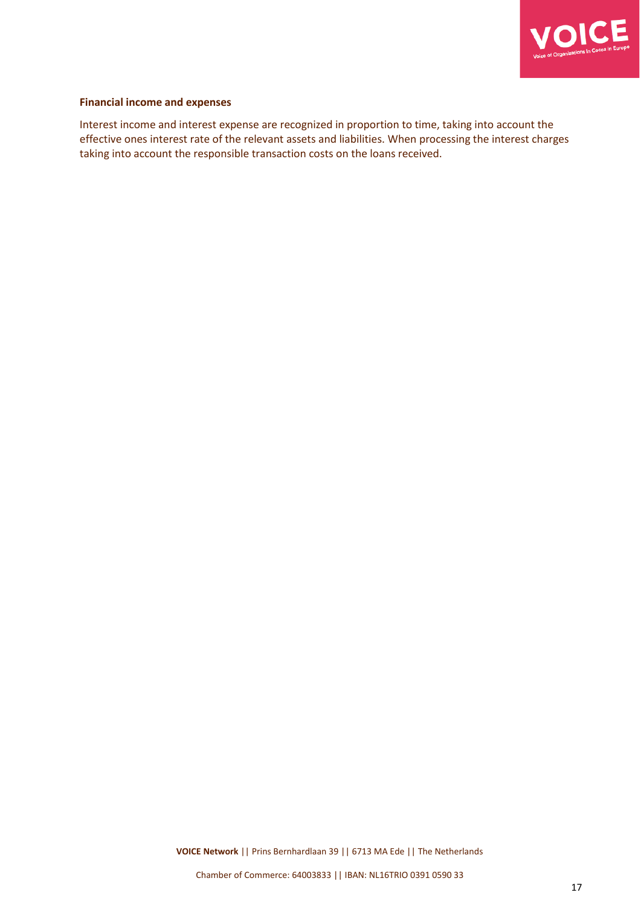

#### **Financial income and expenses**

Interest income and interest expense are recognized in proportion to time, taking into account the effective ones interest rate of the relevant assets and liabilities. When processing the interest charges taking into account the responsible transaction costs on the loans received.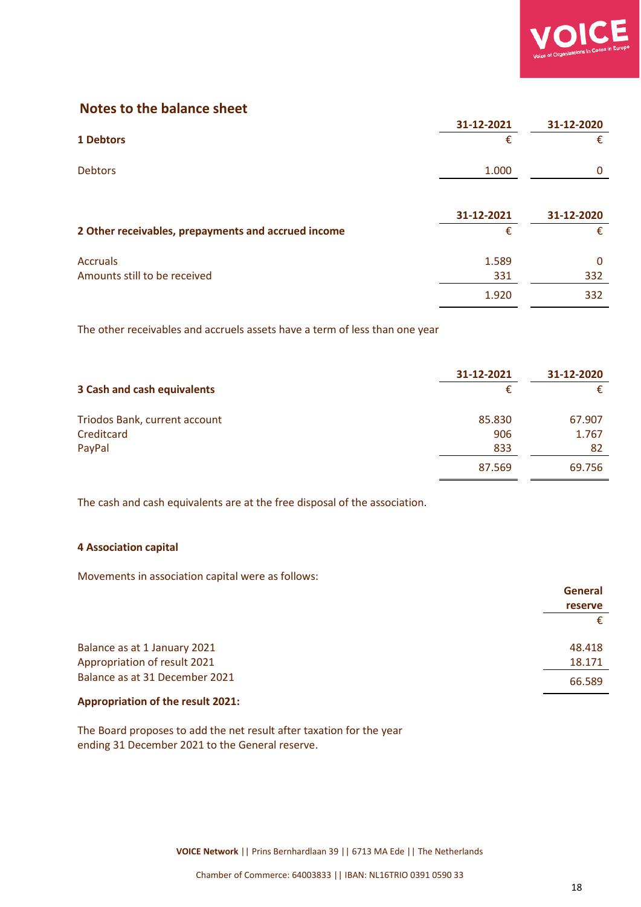

#### **Notes to the balance sheet**

|                                                     | 31-12-2021      | 31-12-2020      |
|-----------------------------------------------------|-----------------|-----------------|
| 1 Debtors                                           | €               | €               |
| <b>Debtors</b>                                      | 1.000           |                 |
| 2 Other receivables, prepayments and accrued income | 31-12-2021<br>€ | 31-12-2020<br>€ |
| <b>Accruals</b>                                     | 1.589           | 0               |
| Amounts still to be received                        | 331             | 332             |

The other receivables and accruels assets have a term of less than one year

|                               | 31-12-2021 | 31-12-2020 |
|-------------------------------|------------|------------|
| 3 Cash and cash equivalents   | €          |            |
| Triodos Bank, current account | 85.830     | 67.907     |
| Creditcard                    | 906        | 1.767      |
| PayPal                        | 833        | 82         |
|                               | 87.569     | 69.756     |

The cash and cash equivalents are at the free disposal of the association.

#### **4 Association capital**

Movements in association capital were as follows:

|                                | <b>General</b> |
|--------------------------------|----------------|
|                                | <b>reserve</b> |
|                                |                |
| Balance as at 1 January 2021   | 48.418         |
| Appropriation of result 2021   | 18.171         |
| Balance as at 31 December 2021 | 66.589         |

#### **Appropriation of the result 2021:**

The Board proposes to add the net result after taxation for the year ending 31 December 2021 to the General reserve.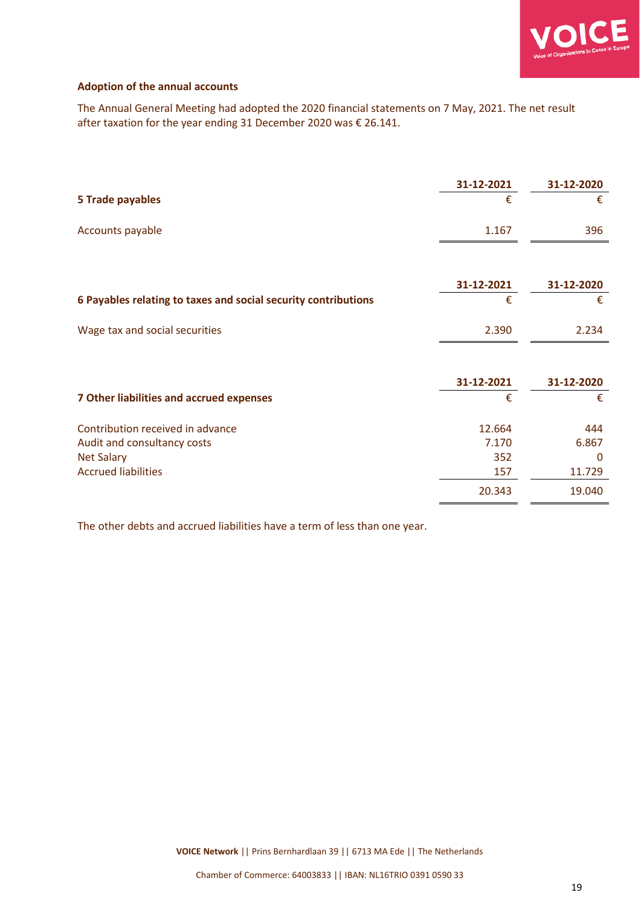

#### **Adoption of the annual accounts**

The Annual General Meeting had adopted the 2020 financial statements on 7 May, 2021. The net result after taxation for the year ending 31 December 2020 was € 26.141.

|                                                                | 31-12-2021 | 31-12-2020 |
|----------------------------------------------------------------|------------|------------|
| <b>5 Trade payables</b>                                        | €          | €          |
| Accounts payable                                               | 1.167      | 396        |
|                                                                |            |            |
|                                                                | 31-12-2021 | 31-12-2020 |
| 6 Payables relating to taxes and social security contributions | €          | €          |
| Wage tax and social securities                                 | 2.390      | 2.234      |
|                                                                |            |            |
|                                                                | 31-12-2021 | 31-12-2020 |
| <b>7 Other liabilities and accrued expenses</b>                | €          | €          |
| Contribution received in advance                               | 12.664     | 444        |
| Audit and consultancy costs                                    | 7.170      | 6.867      |
| <b>Net Salary</b>                                              | 352        | $\Omega$   |
| <b>Accrued liabilities</b>                                     | 157        | 11.729     |
|                                                                | 20.343     | 19.040     |

The other debts and accrued liabilities have a term of less than one year.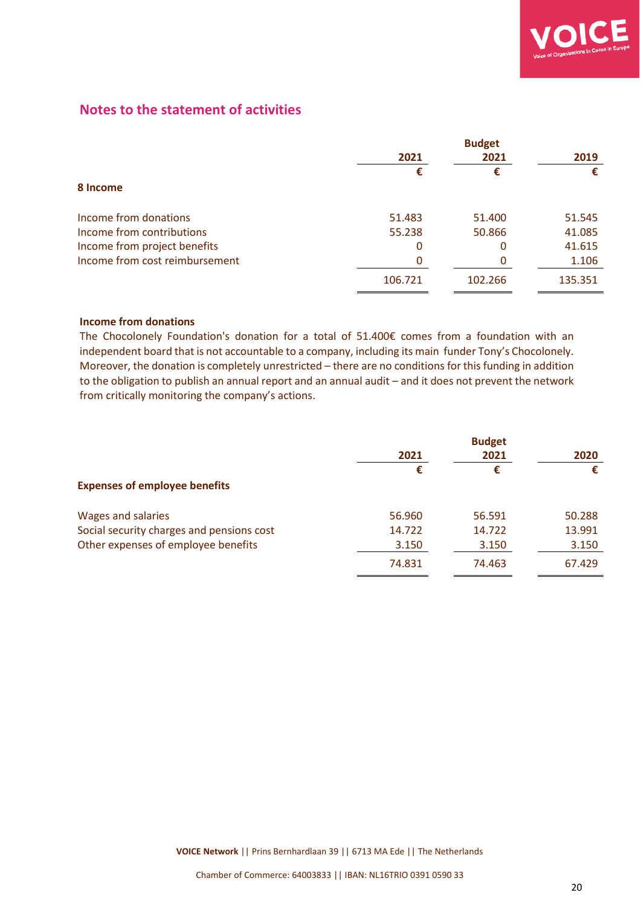

#### **Notes to the statement of activities**

|                                | <b>Budget</b> |         |         |
|--------------------------------|---------------|---------|---------|
|                                | 2021<br>2021  |         | 2019    |
|                                | €             | €       | €       |
| 8 Income                       |               |         |         |
| Income from donations          | 51.483        | 51.400  | 51.545  |
| Income from contributions      | 55.238        | 50.866  | 41.085  |
| Income from project benefits   | 0             | 0       | 41.615  |
| Income from cost reimbursement | 0             | 0       | 1.106   |
|                                | 106.721       | 102.266 | 135.351 |

#### **Income from donations**

The Chocolonely Foundation's donation for a total of 51.400€ comes from a foundation with an independent board that is not accountable to a company, including its main funder Tony's Chocolonely. Moreover, the donation is completely unrestricted – there are no conditions for this funding in addition to the obligation to publish an annual report and an annual audit – and it does not prevent the network from critically monitoring the company's actions.

| <b>Budget</b> |        |        |  |  |
|---------------|--------|--------|--|--|
| 2021<br>2021  |        | 2020   |  |  |
| €             | €      |        |  |  |
|               |        |        |  |  |
| 56.960        | 56.591 | 50.288 |  |  |
| 14.722        | 14.722 | 13.991 |  |  |
| 3.150         | 3.150  | 3.150  |  |  |
| 74.831        | 74.463 | 67.429 |  |  |
|               |        |        |  |  |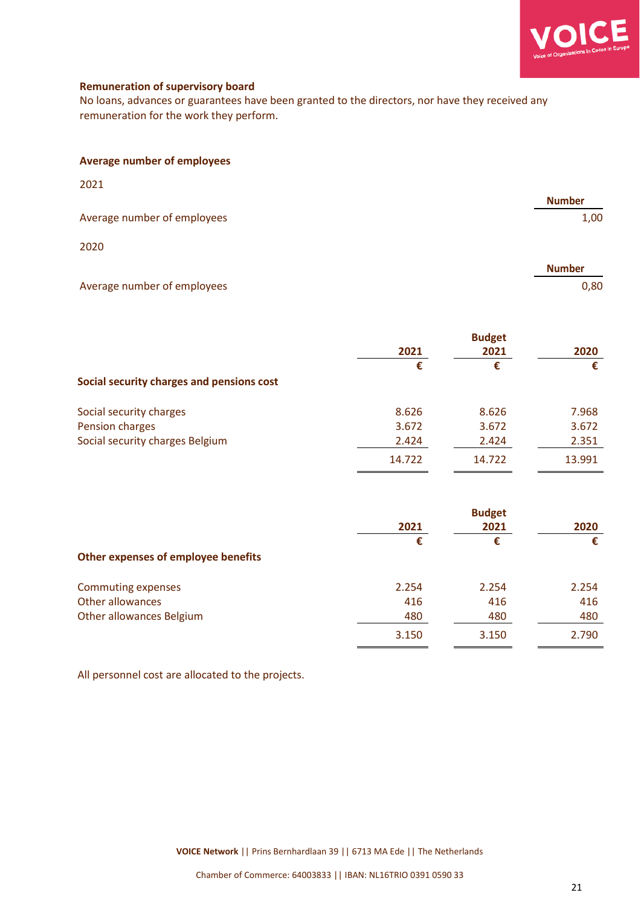

**Number**

0,80

#### **Remuneration of supervisory board**

No loans, advances or guarantees have been granted to the directors, nor have they received any remuneration for the work they perform.

| <b>Average number of employees</b> |  |
|------------------------------------|--|
|------------------------------------|--|

| 2021                        |               |
|-----------------------------|---------------|
|                             | <b>Number</b> |
| Average number of employees | 1,00          |
| 2020                        |               |

## Average number of employees

|                                           | <b>Budget</b> |           |        |  |
|-------------------------------------------|---------------|-----------|--------|--|
|                                           | 2021<br>€     | 2021<br>€ | 2020   |  |
|                                           |               |           | €      |  |
| Social security charges and pensions cost |               |           |        |  |
| Social security charges                   | 8.626         | 8.626     | 7.968  |  |
| Pension charges                           | 3.672         | 3.672     | 3.672  |  |
| Social security charges Belgium           | 2.424         | 2.424     | 2.351  |  |
|                                           | 14.722        | 14.722    | 13.991 |  |

|                                     | <b>Budget</b> |           |       |
|-------------------------------------|---------------|-----------|-------|
|                                     | 2021<br>€     | 2021<br>€ | 2020  |
|                                     |               |           | €     |
| Other expenses of employee benefits |               |           |       |
| Commuting expenses                  | 2.254         | 2.254     | 2.254 |
| Other allowances                    | 416           | 416       | 416   |
| Other allowances Belgium            | 480           | 480       | 480   |
|                                     | 3.150         | 3.150     | 2.790 |

All personnel cost are allocated to the projects.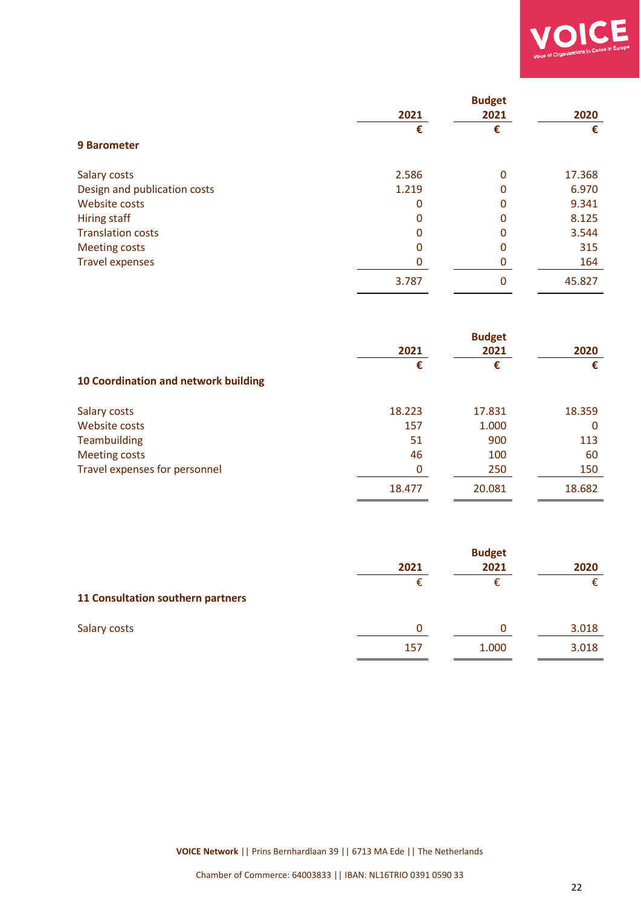

|                              |       | <b>Budget</b> |        |
|------------------------------|-------|---------------|--------|
|                              | 2021  | 2021          | 2020   |
|                              | €     | €             | €      |
| <b>9 Barometer</b>           |       |               |        |
| Salary costs                 | 2.586 | 0             | 17.368 |
| Design and publication costs | 1.219 | 0             | 6.970  |
| Website costs                | 0     | 0             | 9.341  |
| Hiring staff                 | 0     | 0             | 8.125  |
| <b>Translation costs</b>     | 0     | O             | 3.544  |
| <b>Meeting costs</b>         | 0     |               | 315    |
| <b>Travel expenses</b>       |       |               | 164    |
|                              | 3.787 | $\Omega$      | 45.827 |

|                                      | <b>Budget</b> |        |        |
|--------------------------------------|---------------|--------|--------|
|                                      | 2021          | 2021   | 2020   |
|                                      | €             | €      | €      |
| 10 Coordination and network building |               |        |        |
| Salary costs                         | 18.223        | 17.831 | 18.359 |
| Website costs                        | 157           | 1.000  | 0      |
| Teambuilding                         | 51            | 900    | 113    |
| <b>Meeting costs</b>                 | 46            | 100    | 60     |
| Travel expenses for personnel        | 0             | 250    | 150    |
|                                      | 18.477        | 20.081 | 18.682 |

|                                   | <b>Budget</b> |           |       |
|-----------------------------------|---------------|-----------|-------|
|                                   | 2021          | 2021<br>€ | 2020  |
|                                   | €             |           |       |
| 11 Consultation southern partners |               |           |       |
| Salary costs                      | 0             | Ω         | 3.018 |
|                                   | 157           | 1.000     | 3.018 |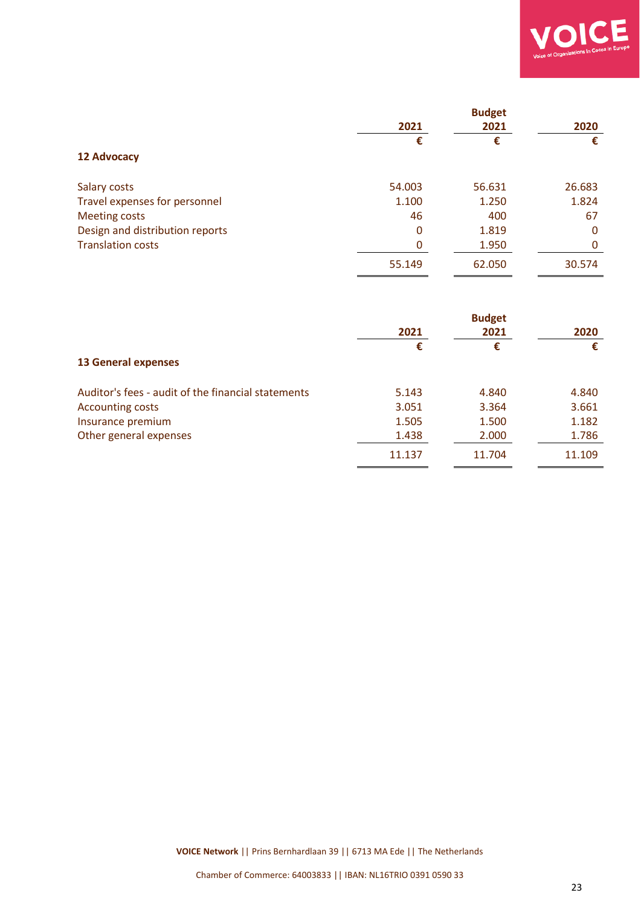

|                                 | <b>Budget</b> |        |        |
|---------------------------------|---------------|--------|--------|
|                                 | 2021          | 2021   | 2020   |
|                                 | €             | €      | €      |
| <b>12 Advocacy</b>              |               |        |        |
| Salary costs                    | 54.003        | 56.631 | 26.683 |
| Travel expenses for personnel   | 1.100         | 1.250  | 1.824  |
| <b>Meeting costs</b>            | 46            | 400    | 67     |
| Design and distribution reports | 0             | 1.819  | 0      |
| <b>Translation costs</b>        | 0             | 1.950  | 0      |
|                                 | 55.149        | 62.050 | 30.574 |

|                                                    | <b>Budget</b> |        |        |
|----------------------------------------------------|---------------|--------|--------|
|                                                    | 2021          | 2021   | 2020   |
|                                                    | €             | €      | €      |
| <b>13 General expenses</b>                         |               |        |        |
| Auditor's fees - audit of the financial statements | 5.143         | 4.840  | 4.840  |
| <b>Accounting costs</b>                            | 3.051         | 3.364  | 3.661  |
| Insurance premium                                  | 1.505         | 1.500  | 1.182  |
| Other general expenses                             | 1.438         | 2.000  | 1.786  |
|                                                    | 11.137        | 11.704 | 11.109 |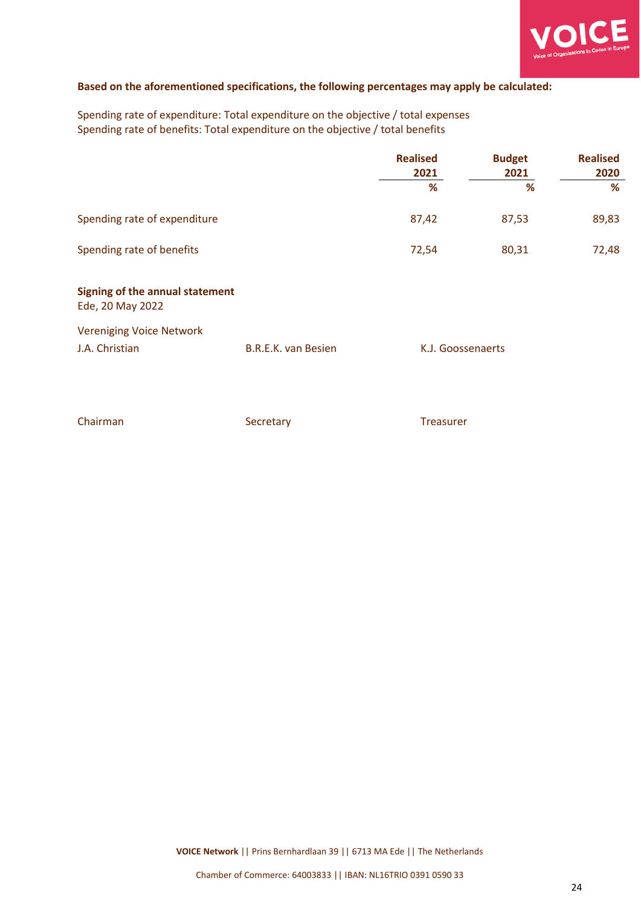

#### **Based on the aforementioned specifications, the following percentages may apply be calculated:**

Spending rate of expenditure: Total expenditure on the objective / total expenses Spending rate of benefits: Total expenditure on the objective / total benefits

|                                                     |                            | <b>Realised</b><br>2021 | <b>Budget</b><br>2021 | <b>Realised</b><br>2020 |
|-----------------------------------------------------|----------------------------|-------------------------|-----------------------|-------------------------|
|                                                     |                            | %                       | %                     | %                       |
| Spending rate of expenditure                        |                            | 87,42                   | 87,53                 | 89,83                   |
| Spending rate of benefits                           |                            | 72,54                   | 80,31                 | 72,48                   |
| Signing of the annual statement<br>Ede, 20 May 2022 |                            |                         |                       |                         |
| <b>Vereniging Voice Network</b>                     |                            |                         |                       |                         |
| J.A. Christian                                      | <b>B.R.E.K. van Besien</b> | K.J. Goossenaerts       |                       |                         |
|                                                     |                            |                         |                       |                         |
| Chairman                                            | Secretary                  | <b>Treasurer</b>        |                       |                         |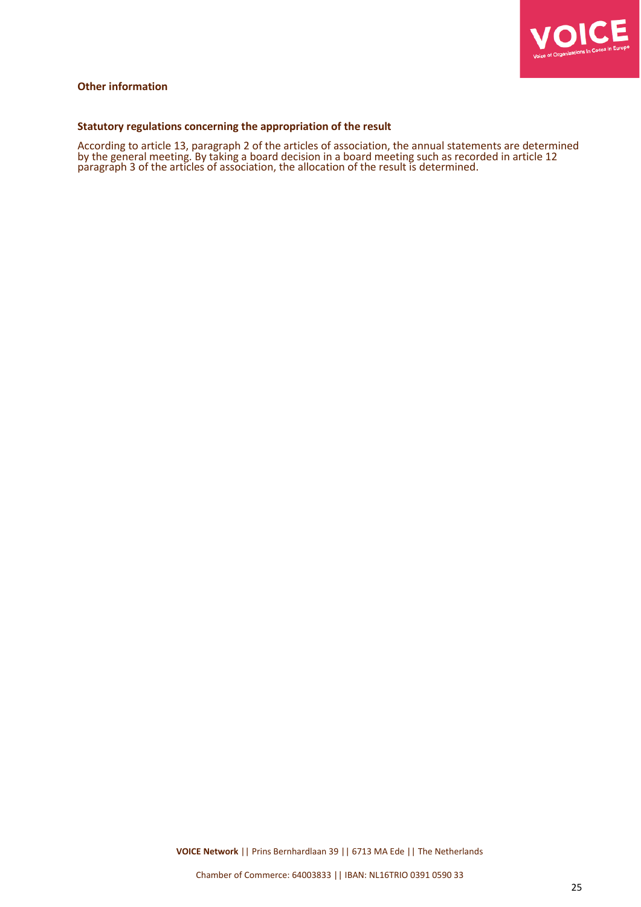

#### **Other information**

#### **Statutory regulations concerning the appropriation of the result**

According to article 13, paragraph 2 of the articles of association, the annual statements are determined by the general meeting. By taking a board decision in a board meeting such as recorded in article 12 paragraph 3 of the articles of association, the allocation of the result is determined.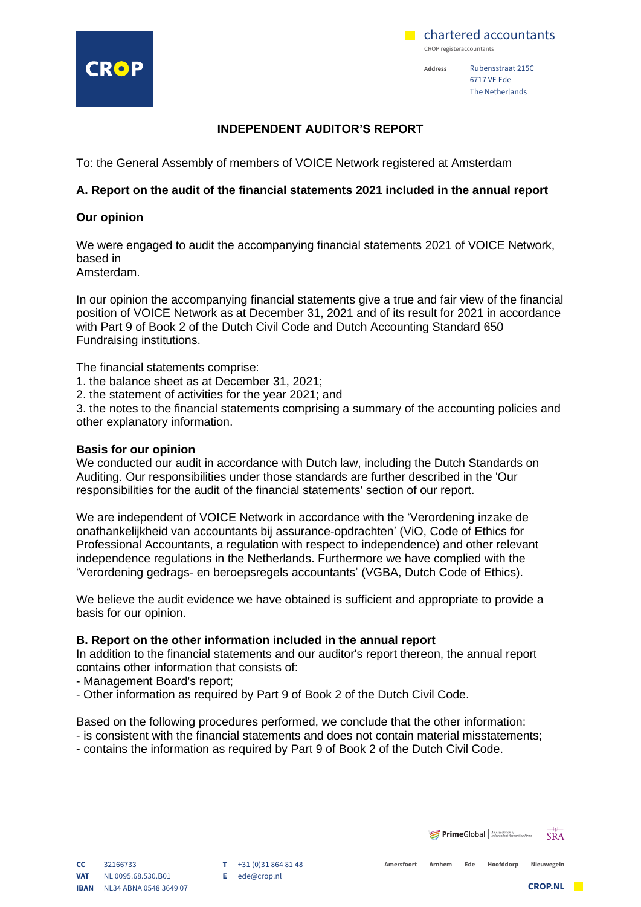



**Address** Rubensstraat 215C 6717 VE Ede The Netherlands

#### **INDEPENDENT AUDITOR'S REPORT**

To: the General Assembly of members of VOICE Network registered at Amsterdam

#### **A. Report on the audit of the financial statements 2021 included in the annual report**

#### **Our opinion**

We were engaged to audit the accompanying financial statements 2021 of VOICE Network, based in

Amsterdam.

In our opinion the accompanying financial statements give a true and fair view of the financial position of VOICE Network as at December 31, 2021 and of its result for 2021 in accordance with Part 9 of Book 2 of the Dutch Civil Code and Dutch Accounting Standard 650 Fundraising institutions.

The financial statements comprise:

- 1. the balance sheet as at December 31, 2021;
- 2. the statement of activities for the year 2021; and

3. the notes to the financial statements comprising a summary of the accounting policies and other explanatory information.

#### **Basis for our opinion**

We conducted our audit in accordance with Dutch law, including the Dutch Standards on Auditing. Our responsibilities under those standards are further described in the 'Our responsibilities for the audit of the financial statements' section of our report.

We are independent of VOICE Network in accordance with the 'Verordening inzake de onafhankelijkheid van accountants bij assurance-opdrachten' (ViO, Code of Ethics for Professional Accountants, a regulation with respect to independence) and other relevant independence regulations in the Netherlands. Furthermore we have complied with the 'Verordening gedrags- en beroepsregels accountants' (VGBA, Dutch Code of Ethics).

We believe the audit evidence we have obtained is sufficient and appropriate to provide a basis for our opinion.

#### **B. Report on the other information included in the annual report**

In addition to the financial statements and our auditor's report thereon, the annual report contains other information that consists of:

- Management Board's report;

- Other information as required by Part 9 of Book 2 of the Dutch Civil Code.

Based on the following procedures performed, we conclude that the other information:

- is consistent with the financial statements and does not contain material misstatements;
- contains the information as required by Part 9 of Book 2 of the Dutch Civil Code.

**T** +31 (0)31 864 81 48 **E** ede@crop.nl

**Prime**Global | An Association of  $\overline{SRA}$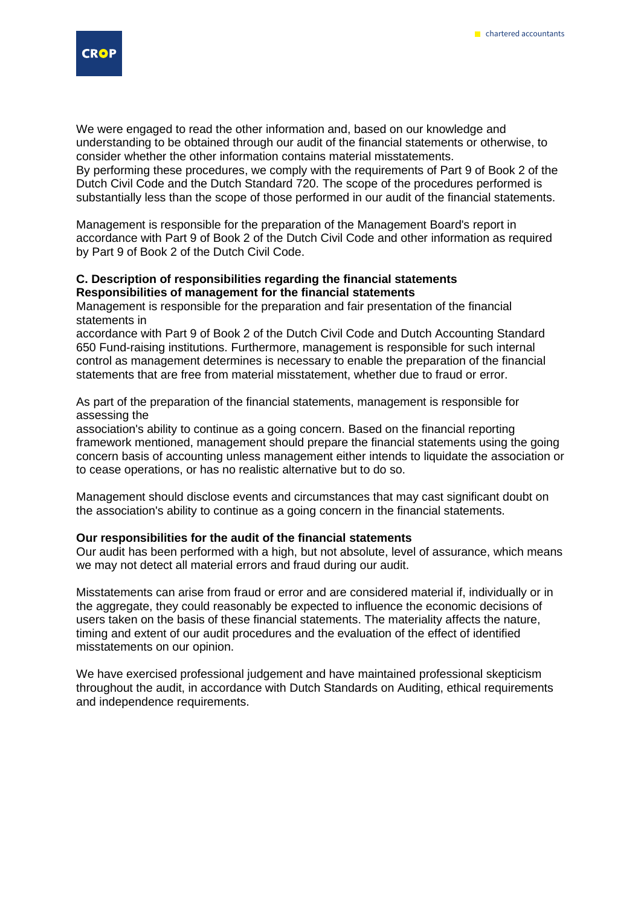

We were engaged to read the other information and, based on our knowledge and understanding to be obtained through our audit of the financial statements or otherwise, to consider whether the other information contains material misstatements. By performing these procedures, we comply with the requirements of Part 9 of Book 2 of the Dutch Civil Code and the Dutch Standard 720. The scope of the procedures performed is substantially less than the scope of those performed in our audit of the financial statements.

Management is responsible for the preparation of the Management Board's report in accordance with Part 9 of Book 2 of the Dutch Civil Code and other information as required by Part 9 of Book 2 of the Dutch Civil Code.

#### **C. Description of responsibilities regarding the financial statements Responsibilities of management for the financial statements**

Management is responsible for the preparation and fair presentation of the financial statements in

accordance with Part 9 of Book 2 of the Dutch Civil Code and Dutch Accounting Standard 650 Fund-raising institutions. Furthermore, management is responsible for such internal control as management determines is necessary to enable the preparation of the financial statements that are free from material misstatement, whether due to fraud or error.

As part of the preparation of the financial statements, management is responsible for assessing the

association's ability to continue as a going concern. Based on the financial reporting framework mentioned, management should prepare the financial statements using the going concern basis of accounting unless management either intends to liquidate the association or to cease operations, or has no realistic alternative but to do so.

Management should disclose events and circumstances that may cast significant doubt on the association's ability to continue as a going concern in the financial statements.

#### **Our responsibilities for the audit of the financial statements**

Our audit has been performed with a high, but not absolute, level of assurance, which means we may not detect all material errors and fraud during our audit.

Misstatements can arise from fraud or error and are considered material if, individually or in the aggregate, they could reasonably be expected to influence the economic decisions of users taken on the basis of these financial statements. The materiality affects the nature, timing and extent of our audit procedures and the evaluation of the effect of identified misstatements on our opinion.

We have exercised professional judgement and have maintained professional skepticism throughout the audit, in accordance with Dutch Standards on Auditing, ethical requirements and independence requirements.